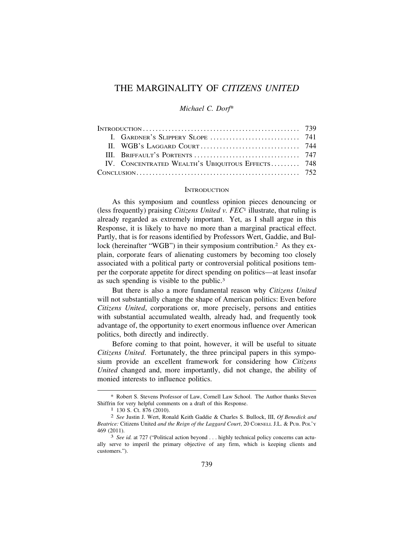# THE MARGINALITY OF *CITIZENS UNITED*

### *Michael C. Dorf*\*

| $InTRODUCTION       739$ |                                                  |  |
|--------------------------|--------------------------------------------------|--|
|                          |                                                  |  |
|                          |                                                  |  |
|                          |                                                  |  |
|                          | IV. CONCENTRATED WEALTH'S UBIQUITOUS EFFECTS 748 |  |
|                          |                                                  |  |

#### **INTRODUCTION**

As this symposium and countless opinion pieces denouncing or (less frequently) praising *Citizens United v. FEC*1 illustrate, that ruling is already regarded as extremely important. Yet, as I shall argue in this Response, it is likely to have no more than a marginal practical effect. Partly, that is for reasons identified by Professors Wert, Gaddie, and Bullock (hereinafter "WGB") in their symposium contribution.<sup>2</sup> As they explain, corporate fears of alienating customers by becoming too closely associated with a political party or controversial political positions temper the corporate appetite for direct spending on politics—at least insofar as such spending is visible to the public.3

But there is also a more fundamental reason why *Citizens United*  will not substantially change the shape of American politics: Even before *Citizens United*, corporations or, more precisely, persons and entities with substantial accumulated wealth, already had, and frequently took advantage of, the opportunity to exert enormous influence over American politics, both directly and indirectly.

Before coming to that point, however, it will be useful to situate *Citizens United*. Fortunately, the three principal papers in this symposium provide an excellent framework for considering how *Citizens United* changed and, more importantly, did not change, the ability of monied interests to influence politics.

<sup>\*</sup> Robert S. Stevens Professor of Law, Cornell Law School. The Author thanks Steven Shiffrin for very helpful comments on a draft of this Response.<br><sup>1</sup> 130 S. Ct. 876 (2010).<br><sup>2</sup> *See Justin J. Wert, Ronald Keith Gaddie & Charles S. Bullock, III, <i>Of Benedick and* 

*Beatrice:* Citizens United *and the Reign of the Laggard Court*, 20 CORNELL J.L. & PUB. POL'Y 469 (2011). 3 *See id.* at 727 ("Political action beyond . . . highly technical policy concerns can actu-

ally serve to imperil the primary objective of any firm, which is keeping clients and customers.").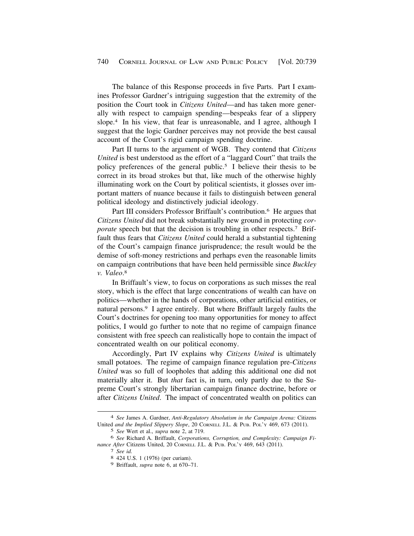The balance of this Response proceeds in five Parts. Part I examines Professor Gardner's intriguing suggestion that the extremity of the position the Court took in *Citizens United*—and has taken more generally with respect to campaign spending—bespeaks fear of a slippery slope.4 In his view, that fear is unreasonable, and I agree, although I suggest that the logic Gardner perceives may not provide the best causal account of the Court's rigid campaign spending doctrine.

Part II turns to the argument of WGB. They contend that *Citizens United* is best understood as the effort of a "laggard Court" that trails the policy preferences of the general public.5 I believe their thesis to be correct in its broad strokes but that, like much of the otherwise highly illuminating work on the Court by political scientists, it glosses over important matters of nuance because it fails to distinguish between general political ideology and distinctively judicial ideology.

Part III considers Professor Briffault's contribution.<sup>6</sup> He argues that *Citizens United* did not break substantially new ground in protecting *corporate* speech but that the decision is troubling in other respects.<sup>7</sup> Briffault thus fears that *Citizens United* could herald a substantial tightening of the Court's campaign finance jurisprudence; the result would be the demise of soft-money restrictions and perhaps even the reasonable limits on campaign contributions that have been held permissible since *Buckley v. Valeo*. 8

In Briffault's view, to focus on corporations as such misses the real story, which is the effect that large concentrations of wealth can have on politics—whether in the hands of corporations, other artificial entities, or natural persons.9 I agree entirely. But where Briffault largely faults the Court's doctrines for opening too many opportunities for money to affect politics, I would go further to note that no regime of campaign finance consistent with free speech can realistically hope to contain the impact of concentrated wealth on our political economy.

Accordingly, Part IV explains why *Citizens United* is ultimately small potatoes. The regime of campaign finance regulation pre-*Citizens United* was so full of loopholes that adding this additional one did not materially alter it. But *that* fact is, in turn, only partly due to the Supreme Court's strongly libertarian campaign finance doctrine, before or after *Citizens United*. The impact of concentrated wealth on politics can

<sup>4</sup> *See* James A. Gardner, *Anti-Regulatory Absolutism in the Campaign Arena:* Citizens United *and the Implied Slippery Slope*, 20 CORNELL J.L. & PUB. POL'Y 469, 673 (2011).

<sup>5</sup> *See* Wert et al., *supra* note 2, at 719.

<sup>6</sup> *See* Richard A. Briffault, *Corporations, Corruption, and Complexity: Campaign Finance After* Citizens United, 20 CORNELL J.L. & PUB. POL'Y 469, 643 (2011). 7 *See id.* 8 424 U.S. 1 (1976) (per curiam).

<sup>9</sup> Briffault, *supra* note 6, at 670–71.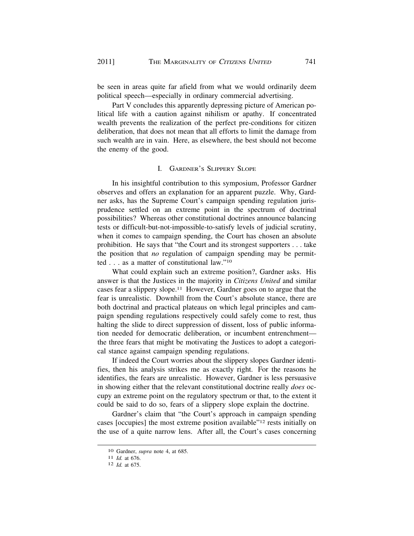be seen in areas quite far afield from what we would ordinarily deem political speech—especially in ordinary commercial advertising.

Part V concludes this apparently depressing picture of American political life with a caution against nihilism or apathy. If concentrated wealth prevents the realization of the perfect pre-conditions for citizen deliberation, that does not mean that all efforts to limit the damage from such wealth are in vain. Here, as elsewhere, the best should not become the enemy of the good.

### I. GARDNER'S SLIPPERY SLOPE

In his insightful contribution to this symposium, Professor Gardner observes and offers an explanation for an apparent puzzle. Why, Gardner asks, has the Supreme Court's campaign spending regulation jurisprudence settled on an extreme point in the spectrum of doctrinal possibilities? Whereas other constitutional doctrines announce balancing tests or difficult-but-not-impossible-to-satisfy levels of judicial scrutiny, when it comes to campaign spending, the Court has chosen an absolute prohibition. He says that "the Court and its strongest supporters . . . take the position that *no* regulation of campaign spending may be permitted . . . as a matter of constitutional law."10

What could explain such an extreme position?, Gardner asks. His answer is that the Justices in the majority in *Citizens United* and similar cases fear a slippery [slope.11](https://slope.11) However, Gardner goes on to argue that the fear is unrealistic. Downhill from the Court's absolute stance, there are both doctrinal and practical plateaus on which legal principles and campaign spending regulations respectively could safely come to rest, thus halting the slide to direct suppression of dissent, loss of public information needed for democratic deliberation, or incumbent entrenchment the three fears that might be motivating the Justices to adopt a categorical stance against campaign spending regulations.

If indeed the Court worries about the slippery slopes Gardner identifies, then his analysis strikes me as exactly right. For the reasons he identifies, the fears are unrealistic. However, Gardner is less persuasive in showing either that the relevant constitutional doctrine really *does* occupy an extreme point on the regulatory spectrum or that, to the extent it could be said to do so, fears of a slippery slope explain the doctrine.

Gardner's claim that "the Court's approach in campaign spending cases [occupies] the most extreme position available"12 rests initially on the use of a quite narrow lens. After all, the Court's cases concerning

<sup>10</sup> Gardner, *supra* note 4, at 685. 11 *Id.* at 676. 12 *Id.* at 675.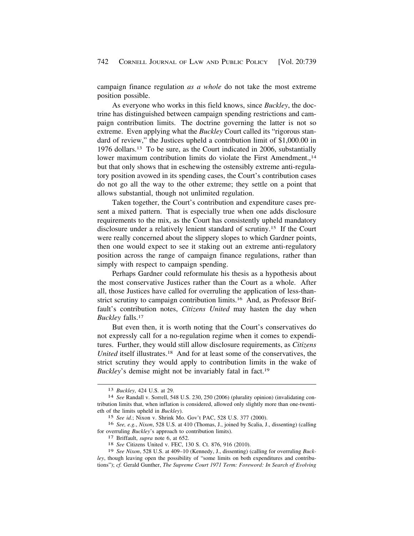campaign finance regulation *as a whole* do not take the most extreme position possible.

As everyone who works in this field knows, since *Buckley*, the doctrine has distinguished between campaign spending restrictions and campaign contribution limits. The doctrine governing the latter is not so extreme. Even applying what the *Buckley* Court called its "rigorous standard of review," the Justices upheld a contribution limit of [\\$1,000.00](https://1,000.00) in 1976 [dollars.13](https://dollars.13) To be sure, as the Court indicated in 2006, substantially lower maximum contribution limits do violate the First Amendment.,<sup>14</sup> but that only shows that in eschewing the ostensibly extreme anti-regulatory position avowed in its spending cases, the Court's contribution cases do not go all the way to the other extreme; they settle on a point that allows substantial, though not unlimited regulation.

Taken together, the Court's contribution and expenditure cases present a mixed pattern. That is especially true when one adds disclosure requirements to the mix, as the Court has consistently upheld mandatory disclosure under a relatively lenient standard of [scrutiny.15](https://scrutiny.15) If the Court were really concerned about the slippery slopes to which Gardner points, then one would expect to see it staking out an extreme anti-regulatory position across the range of campaign finance regulations, rather than simply with respect to campaign spending.

Perhaps Gardner could reformulate his thesis as a hypothesis about the most conservative Justices rather than the Court as a whole. After all, those Justices have called for overruling the application of less-thanstrict scrutiny to campaign contribution [limits.16](https://limits.16) And, as Professor Briffault's contribution notes, *Citizens United* may hasten the day when *Buckley* [falls.17](https://falls.17)

But even then, it is worth noting that the Court's conservatives do not expressly call for a no-regulation regime when it comes to expenditures. Further, they would still allow disclosure requirements, as *Citizens United* itself illustrates.<sup>18</sup> And for at least some of the conservatives, the strict scrutiny they would apply to contribution limits in the wake of *Buckley*'s demise might not be invariably fatal in fact.<sup>19</sup>

<sup>13</sup>*Buckley*, 424 U.S. at 29. 14 *See* Randall v. Sorrell, 548 U.S. 230, 250 (2006) (plurality opinion) (invalidating contribution limits that, when inflation is considered, allowed only slightly more than one-twentieth of the limits upheld in *Buckley*).

<sup>15</sup> *See id.*; Nixon v. Shrink Mo. Gov't PAC, 528 U.S. 377 (2000).

<sup>16</sup> *See, e.g.*, *Nixon*, 528 U.S. at 410 (Thomas, J., joined by Scalia, J., dissenting) (calling for overruling *Buckley*'s approach to contribution limits). 17 Briffault, *supra* note 6, at 652. 18 *See* Citizens United v. FEC, 130 S. Ct. 876, 916 (2010).

<sup>19</sup> *See Nixon*, 528 U.S. at 409–10 (Kennedy, J., dissenting) (calling for overruling *Buckley*, though leaving open the possibility of "some limits on both expenditures and contributions"); *cf.* Gerald Gunther, *The Supreme Court 1971 Term: Foreword: In Search of Evolving*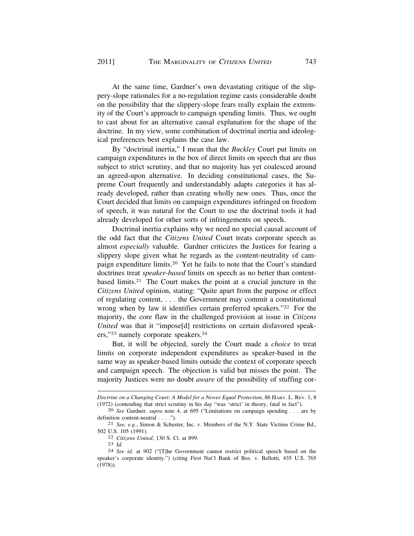At the same time, Gardner's own devastating critique of the slippery-slope rationales for a no-regulation regime casts considerable doubt on the possibility that the slippery-slope fears really explain the extremity of the Court's approach to campaign spending limits. Thus, we ought to cast about for an alternative causal explanation for the shape of the doctrine. In my view, some combination of doctrinal inertia and ideological preferences best explains the case law.

By "doctrinal inertia," I mean that the *Buckley* Court put limits on campaign expenditures in the box of direct limits on speech that are thus subject to strict scrutiny, and that no majority has yet coalesced around an agreed-upon alternative. In deciding constitutional cases, the Supreme Court frequently and understandably adapts categories it has already developed, rather than creating wholly new ones. Thus, once the Court decided that limits on campaign expenditures infringed on freedom of speech, it was natural for the Court to use the doctrinal tools it had already developed for other sorts of infringements on speech.

Doctrinal inertia explains why we need no special causal account of the odd fact that the *Citizens United* Court treats corporate speech as almost *especially* valuable. Gardner criticizes the Justices for fearing a slippery slope given what he regards as the content-neutrality of campaign expenditure [limits.20](https://limits.20) Yet he fails to note that the Court's standard doctrines treat *speaker-based* limits on speech as no better than contentbased [limits.21](https://limits.21) The Court makes the point at a crucial juncture in the *Citizens United* opinion, stating: "Quite apart from the purpose or effect of regulating content, . . . the Government may commit a constitutional wrong when by law it identifies certain preferred speakers."<sup>22</sup> For the majority, the core flaw in the challenged provision at issue in *Citizens United* was that it "impose[d] restrictions on certain disfavored speakers,"23 namely corporate [speakers.24](https://speakers.24) 

But, it will be objected, surely the Court made a *choice* to treat limits on corporate independent expenditures as speaker-based in the same way as speaker-based limits outside the context of corporate speech and campaign speech. The objection is valid but misses the point. The majority Justices were no doubt *aware* of the possibility of stuffing cor-

*Doctrine on a Changing Court: A Model for a Newer Equal Protection*, 86 HARV. L. REV. 1, 8 (1972) (contending that strict scrutiny in his day "was 'strict' in theory, fatal in fact").

<sup>&</sup>lt;sup>20</sup> See Gardner, *supra* note 4, at 695 ("Limitations on campaign spending . . . are by definition content-neutral . . . .").<br><sup>21</sup> *See, e.g.*, Simon & Schuster, Inc. v. Members of the N.Y. State Victims Crime Bd.,

<sup>502</sup> U.S. 105 (1991). 22 *Citizens United*, 130 S. Ct. at 899. 23 *Id.* 24 *See id.* at 902 ("[T]he Government cannot restrict political speech based on the

speaker's corporate identity.") (citing First Nat'l Bank of Bos. v. Bellotti*,* 435 U.S. 765 (1978)).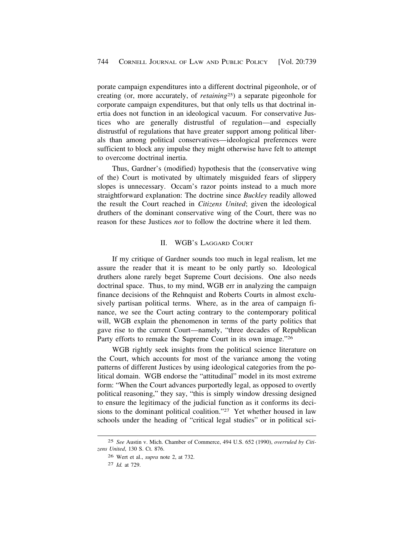porate campaign expenditures into a different doctrinal pigeonhole, or of creating (or, more accurately, of *retaining*25) a separate pigeonhole for corporate campaign expenditures, but that only tells us that doctrinal inertia does not function in an ideological vacuum. For conservative Justices who are generally distrustful of regulation—and especially distrustful of regulations that have greater support among political liberals than among political conservatives—ideological preferences were sufficient to block any impulse they might otherwise have felt to attempt to overcome doctrinal inertia.

Thus, Gardner's (modified) hypothesis that the (conservative wing of the) Court is motivated by ultimately misguided fears of slippery slopes is unnecessary. Occam's razor points instead to a much more straightforward explanation: The doctrine since *Buckley* readily allowed the result the Court reached in *Citizens United*; given the ideological druthers of the dominant conservative wing of the Court, there was no reason for these Justices *not* to follow the doctrine where it led them.

## II. WGB'S LAGGARD COURT

If my critique of Gardner sounds too much in legal realism, let me assure the reader that it is meant to be only partly so. Ideological druthers alone rarely beget Supreme Court decisions. One also needs doctrinal space. Thus, to my mind, WGB err in analyzing the campaign finance decisions of the Rehnquist and Roberts Courts in almost exclusively partisan political terms. Where, as in the area of campaign finance, we see the Court acting contrary to the contemporary political will, WGB explain the phenomenon in terms of the party politics that gave rise to the current Court—namely, "three decades of Republican Party efforts to remake the Supreme Court in its own image."26

WGB rightly seek insights from the political science literature on the Court, which accounts for most of the variance among the voting patterns of different Justices by using ideological categories from the political domain. WGB endorse the "attitudinal" model in its most extreme form: "When the Court advances purportedly legal, as opposed to overtly political reasoning," they say, "this is simply window dressing designed to ensure the legitimacy of the judicial function as it conforms its decisions to the dominant political coalition."27 Yet whether housed in law schools under the heading of "critical legal studies" or in political sci-

<sup>25</sup> *See* Austin v. Mich. Chamber of Commerce, 494 U.S. 652 (1990), *overruled by Citizens United*, 130 S. Ct. 876.

<sup>26</sup> Wert et al., *supra* note 2, at 732.

<sup>27</sup> *Id.* at 729.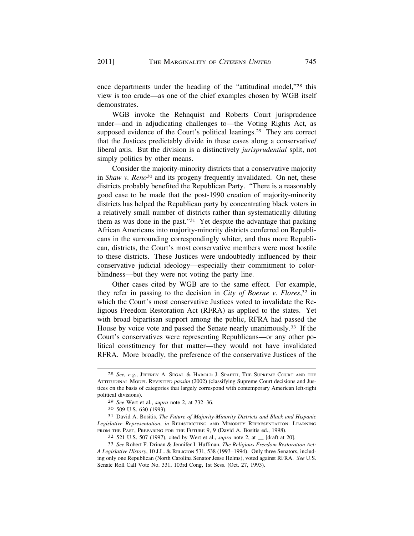ence departments under the heading of the "attitudinal model,"28 this view is too crude—as one of the chief examples chosen by WGB itself demonstrates.

WGB invoke the Rehnquist and Roberts Court jurisprudence under—and in adjudicating challenges to—the Voting Rights Act, as supposed evidence of the Court's political leanings.<sup>29</sup> They are correct that the Justices predictably divide in these cases along a conservative/ liberal axis. But the division is a distinctively *jurisprudential* split, not simply politics by other means.

Consider the majority-minority districts that a conservative majority in *Shaw v. Reno*30 and its progeny frequently invalidated. On net, these districts probably benefited the Republican Party. "There is a reasonably good case to be made that the post-1990 creation of majority-minority districts has helped the Republican party by concentrating black voters in a relatively small number of districts rather than systematically diluting them as was done in the past."31 Yet despite the advantage that packing African Americans into majority-minority districts conferred on Republicans in the surrounding correspondingly whiter, and thus more Republican, districts, the Court's most conservative members were most hostile to these districts. These Justices were undoubtedly influenced by their conservative judicial ideology—especially their commitment to colorblindness—but they were not voting the party line.

Other cases cited by WGB are to the same effect. For example, they refer in passing to the decision in *City of Boerne v. Flores*, 32 in which the Court's most conservative Justices voted to invalidate the Religious Freedom Restoration Act (RFRA) as applied to the states. Yet with broad bipartisan support among the public, RFRA had passed the House by voice vote and passed the Senate nearly [unanimously.33](https://unanimously.33) If the Court's conservatives were representing Republicans—or any other political constituency for that matter—they would not have invalidated RFRA. More broadly, the preference of the conservative Justices of the

<sup>28</sup> *See, e.g.*, JEFFREY A. SEGAL & HAROLD J. SPAETH, THE SUPREME COURT AND THE ATTITUDINAL MODEL REVISITED *passim* (2002) (classifying Supreme Court decisions and Justices on the basis of categories that largely correspond with contemporary American left-right political divisions).

<sup>29</sup> *See* Wert et al., *supra* note 2, at 732–36.

<sup>30 509</sup> U.S. 630 (1993).

<sup>31</sup> David A. Bositis, *The Future of Majority-Minority Districts and Black and Hispanic Legislative Representation*, *in* REDISTRICTING AND MINORITY REPRESENTATION: LEARNING FROM THE PAST, PREPARING FOR THE FUTURE 9, 9 (David A. Bositis ed., 1998).

<sup>32 521</sup> U.S. 507 (1997), cited by Wert et al., *supra* note 2, at \_\_ [draft at 20].

<sup>33</sup> *See* Robert F. Drinan & Jennifer I. Huffman, *The Religious Freedom Restoration Act: A Legislative History*, 10 J.L. & RELIGION 531, 538 (1993–1994). Only three Senators, including only one Republican (North Carolina Senator Jesse Helms), voted against RFRA. *See* U.S. Senate Roll Call Vote No. 331, 103rd Cong, 1st Sess. (Oct. 27, 1993).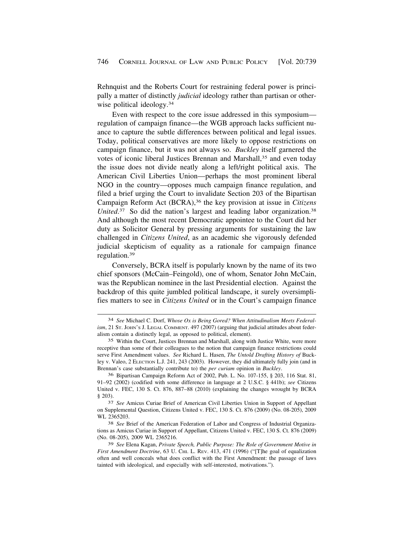Rehnquist and the Roberts Court for restraining federal power is principally a matter of distinctly *judicial* ideology rather than partisan or otherwise political ideology.<sup>34</sup>

Even with respect to the core issue addressed in this symposium regulation of campaign finance—the WGB approach lacks sufficient nuance to capture the subtle differences between political and legal issues. Today, political conservatives are more likely to oppose restrictions on campaign finance, but it was not always so. *Buckley* itself garnered the votes of iconic liberal Justices Brennan and Marshall,<sup>35</sup> and even today the issue does not divide neatly along a left/right political axis. The American Civil Liberties Union—perhaps the most prominent liberal NGO in the country—opposes much campaign finance regulation, and filed a brief urging the Court to invalidate Section 203 of the Bipartisan Campaign Reform Act (BCRA),36 the key provision at issue in *Citizens*  [United](https://United.37).<sup>37</sup> So did the nation's largest and leading labor organization.<sup>38</sup> And although the most recent Democratic appointee to the Court did her duty as Solicitor General by pressing arguments for sustaining the law challenged in *Citizens United*, as an academic she vigorously defended judicial skepticism of equality as a rationale for campaign finance [regulation.39](https://regulation.39)

Conversely, BCRA itself is popularly known by the name of its two chief sponsors (McCain–Feingold), one of whom, Senator John McCain, was the Republican nominee in the last Presidential election. Against the backdrop of this quite jumbled political landscape, it surely oversimplifies matters to see in *Citizens United* or in the Court's campaign finance

<sup>34</sup> *See* Michael C. Dorf, *Whose Ox is Being Gored? When Attitudinalism Meets Federalism*, 21 St. JOHN's J. LEGAL COMMENT. 497 (2007) (arguing that judicial attitudes about federalism contain a distinctly legal, as opposed to political, element).

<sup>35</sup> Within the Court, Justices Brennan and Marshall, along with Justice White, were more receptive than some of their colleagues to the notion that campaign finance restrictions could serve First Amendment values. *See* Richard L. Hasen, *The Untold Drafting History of* Buckley v. Valeo, 2 ELECTION L.J. 241, 243 (2003). However, they did ultimately fully join (and in Brennan's case substantially contribute to) the *per curiam* opinion in *Buckley*.

<sup>36</sup> Bipartisan Campaign Reform Act of 2002, Pub. L. No. 107-155, § 203, 116 Stat. 81, 91–92 (2002) (codified with some difference in language at 2 U.S.C. § 441b); *see* Citizens United v. FEC, 130 S. Ct. 876, 887–88 (2010) (explaining the changes wrought by BCRA § 203).

<sup>37</sup> *See* Amicus Curiae Brief of American Civil Liberties Union in Support of Appellant on Supplemental Question, Citizens United v. FEC, 130 S. Ct. 876 (2009) (No. 08-205), 2009 WL 2365203.

<sup>38</sup> *See* Brief of the American Federation of Labor and Congress of Industrial Organizations as Amicus Curiae in Support of Appellant, Citizens United v. FEC, 130 S. Ct. 876 (2009) (No. 08-205), 2009 WL 2365216.

<sup>39</sup> *See* Elena Kagan, *Private Speech, Public Purpose: The Role of Government Motive in First Amendment Doctrine*, 63 U. CHI. L. REV. 413, 471 (1996) ("[T]he goal of equalization often and well conceals what does conflict with the First Amendment: the passage of laws tainted with ideological, and especially with self-interested, motivations.").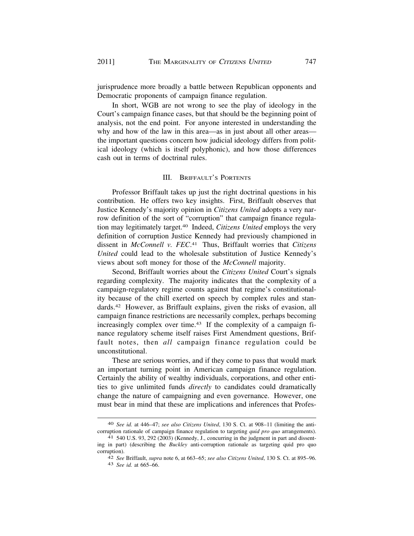jurisprudence more broadly a battle between Republican opponents and Democratic proponents of campaign finance regulation.

In short, WGB are not wrong to see the play of ideology in the Court's campaign finance cases, but that should be the beginning point of analysis, not the end point. For anyone interested in understanding the why and how of the law in this area—as in just about all other areas the important questions concern how judicial ideology differs from political ideology (which is itself polyphonic), and how those differences cash out in terms of doctrinal rules.

### III. BRIFFAULT'S PORTENTS

Professor Briffault takes up just the right doctrinal questions in his contribution. He offers two key insights. First, Briffault observes that Justice Kennedy's majority opinion in *Citizens United* adopts a very narrow definition of the sort of "corruption" that campaign finance regulation may legitimately [target.40](https://target.40) Indeed, *Citizens United* employs the very definition of corruption Justice Kennedy had previously championed in dissent in *McConnell v. FEC*. 41 Thus, Briffault worries that *Citizens United* could lead to the wholesale substitution of Justice Kennedy's views about soft money for those of the *McConnell* majority.

Second, Briffault worries about the *Citizens United* Court's signals regarding complexity. The majority indicates that the complexity of a campaign-regulatory regime counts against that regime's constitutionality because of the chill exerted on speech by complex rules and stan[dards.42](https://dards.42) However, as Briffault explains, given the risks of evasion, all campaign finance restrictions are necessarily complex, perhaps becoming increasingly complex over time.<sup>43</sup> If the complexity of a campaign finance regulatory scheme itself raises First Amendment questions, Briffault notes, then *all* campaign finance regulation could be unconstitutional.

These are serious worries, and if they come to pass that would mark an important turning point in American campaign finance regulation. Certainly the ability of wealthy individuals, corporations, and other entities to give unlimited funds *directly* to candidates could dramatically change the nature of campaigning and even governance. However, one must bear in mind that these are implications and inferences that Profes-

<sup>40</sup> *See id.* at 446–47; *see also Citizens United*, 130 S. Ct. at 908–11 (limiting the anticorruption rationale of campaign finance regulation to targeting *quid pro quo* arrangements). 41 540 U.S. 93, 292 (2003) (Kennedy, J., concurring in the judgment in part and dissent-

ing in part) (describing the *Buckley* anti-corruption rationale as targeting quid pro quo

corruption). 42 *See* Briffault, *supra* note 6, at 663–65; *see also Citizens United*, 130 S. Ct. at 895–96. 43 *See id.* at 665–66.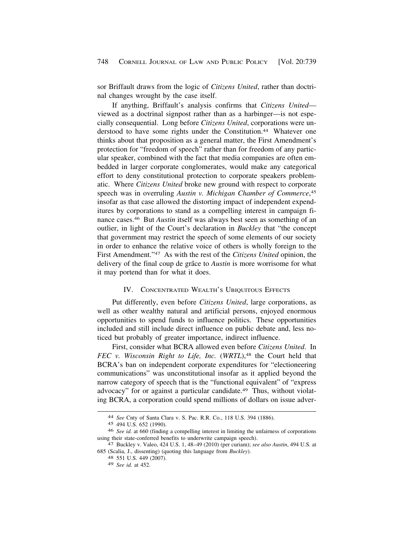sor Briffault draws from the logic of *Citizens United*, rather than doctrinal changes wrought by the case itself.

If anything, Briffault's analysis confirms that *Citizens United* viewed as a doctrinal signpost rather than as a harbinger—is not especially consequential. Long before *Citizens United*, corporations were understood to have some rights under the Constitution.<sup>44</sup> Whatever one thinks about that proposition as a general matter, the First Amendment's protection for "freedom of speech" rather than for freedom of any particular speaker, combined with the fact that media companies are often embedded in larger corporate conglomerates, would make any categorical effort to deny constitutional protection to corporate speakers problematic. Where *Citizens United* broke new ground with respect to corporate speech was in overruling *Austin v. Michigan Chamber of Commerce*, 45 insofar as that case allowed the distorting impact of independent expenditures by corporations to stand as a compelling interest in campaign finance [cases.46](https://cases.46) But *Austin* itself was always best seen as something of an outlier, in light of the Court's declaration in *Buckley* that "the concept that government may restrict the speech of some elements of our society in order to enhance the relative voice of others is wholly foreign to the First Amendment."47 As with the rest of the *Citizens United* opinion, the delivery of the final coup de grâce to *Austin* is more worrisome for what it may portend than for what it does.

### IV. CONCENTRATED WEALTH'S UBIQUITOUS EFFECTS

Put differently, even before *Citizens United*, large corporations, as well as other wealthy natural and artificial persons, enjoyed enormous opportunities to spend funds to influence politics. These opportunities included and still include direct influence on public debate and, less noticed but probably of greater importance, indirect influence.

First, consider what BCRA allowed even before *Citizens United*. In *FEC v. Wisconsin Right to Life, Inc.* (*WRTL*),<sup>48</sup> the Court held that BCRA's ban on independent corporate expenditures for "electioneering communications" was unconstitutional insofar as it applied beyond the narrow category of speech that is the "functional equivalent" of "express advocacy" for or against a particular candidate.<sup>49</sup> Thus, without violating BCRA, a corporation could spend millions of dollars on issue adver-

<sup>44</sup> *See* Cnty of Santa Clara v. S. Pac. R.R. Co., 118 U.S. 394 (1886).

<sup>45 494</sup> U.S. 652 (1990).

<sup>46</sup> *See id.* at 660 (finding a compelling interest in limiting the unfairness of corporations using their state-conferred benefits to underwrite campaign speech). 47 Buckley v. Valeo, 424 U.S. 1, 48–49 (2010) (per curiam); *see also Austin*, 494 U.S. at

<sup>685 (</sup>Scalia, J., dissenting) (quoting this language from *Buckley*). 48 551 U.S. 449 (2007).

<sup>49</sup> *See id.* at 452.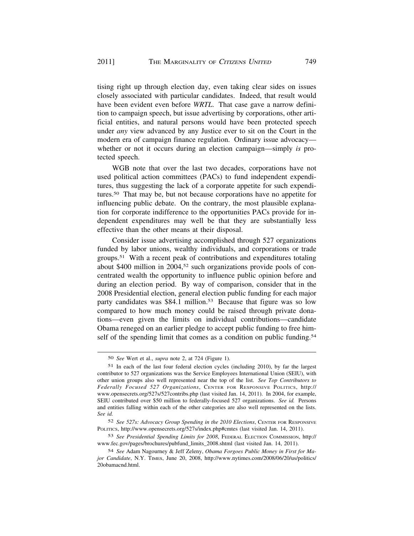tising right up through election day, even taking clear sides on issues closely associated with particular candidates. Indeed, that result would have been evident even before *WRTL*. That case gave a narrow definition to campaign speech, but issue advertising by corporations, other artificial entities, and natural persons would have been protected speech under *any* view advanced by any Justice ever to sit on the Court in the modern era of campaign finance regulation. Ordinary issue advocacy whether or not it occurs during an election campaign—simply *is* protected speech.

WGB note that over the last two decades, corporations have not used political action committees (PACs) to fund independent expenditures, thus suggesting the lack of a corporate appetite for such expendi[tures.50](https://tures.50) That may be, but not because corporations have no appetite for influencing public debate. On the contrary, the most plausible explanation for corporate indifference to the opportunities PACs provide for independent expenditures may well be that they are substantially less effective than the other means at their disposal.

Consider issue advertising accomplished through 527 organizations funded by labor unions, wealthy individuals, and corporations or trade [groups.51](https://groups.51) With a recent peak of contributions and expenditures totaling about \$400 million in 2004,52 such organizations provide pools of concentrated wealth the opportunity to influence public opinion before and during an election period. By way of comparison, consider that in the 2008 Presidential election, general election public funding for each major party candidates was \$84.1 million.<sup>53</sup> Because that figure was so low compared to how much money could be raised through private donations—even given the limits on individual contributions—candidate Obama reneged on an earlier pledge to accept public funding to free himself of the spending limit that comes as a condition on public funding.<sup>54</sup>

<sup>50</sup> *See* Wert et al., *supra* note 2, at 724 (Figure 1).

<sup>51</sup> In each of the last four federal election cycles (including 2010), by far the largest contributor to 527 organizations was the Service Employees International Union (SEIU), with other union groups also well represented near the top of the list. *See Top Contributors to Federally Focused 527 Organizations*, CENTER FOR RESPONSIVE POLITICS, http:// <www.opensecrets.org/527s/527contribs.php> (last visited Jan. 14, 2011). In 2004, for example, SEIU contributed over \$50 million to federally-focused 527 organizations. *See id.* Persons and entities falling within each of the other categories are also well represented on the lists. *See id.* 

<sup>52</sup> *See 527s: Advocacy Group Spending in the 2010 Elections*, CENTER FOR RESPONSIVE POLITICS, <http://www.opensecrets.org/527s/index.php#cmtes>(last visited Jan. 14, 2011).

<sup>53</sup> *See Presidential Spending Limits for 2008*, FEDERAL ELECTION COMMISSION, http:// [www.fec.gov/pages/brochures/pubfund\\_limits\\_2008.shtml](www.fec.gov/pages/brochures/pubfund_limits_2008.shtml) (last visited Jan. 14, 2011).

<sup>54</sup> *See* Adam Nagourney & Jeff Zeleny, *Obama Forgoes Public Money in First for Major Candidate*, N.Y. TIMES, June 20, 2008, [http://www.nytimes.com/2008/06/20/us/politics/](http://www.nytimes.com/2008/06/20/us/politics) 20obamacnd.html.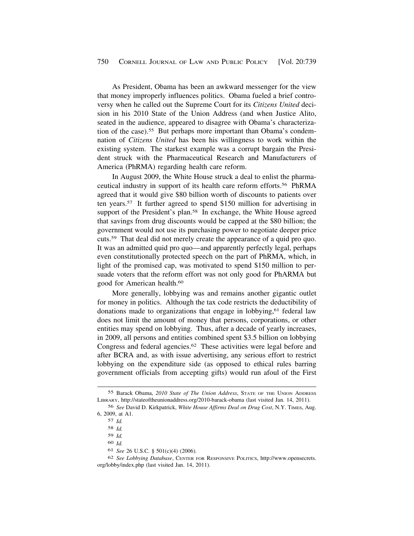As President, Obama has been an awkward messenger for the view that money improperly influences politics. Obama fueled a brief controversy when he called out the Supreme Court for its *Citizens United* decision in his 2010 State of the Union Address (and when Justice Alito, seated in the audience, appeared to disagree with Obama's characterization of the case).<sup>55</sup> But perhaps more important than Obama's condemnation of *Citizens United* has been his willingness to work within the existing system. The starkest example was a corrupt bargain the President struck with the Pharmaceutical Research and Manufacturers of America (PhRMA) regarding health care reform.

In August 2009, the White House struck a deal to enlist the pharmaceutical industry in support of its health care reform [efforts.56](https://efforts.56) PhRMA agreed that it would give \$80 billion worth of discounts to patients over ten [years.57](https://years.57) It further agreed to spend \$150 million for advertising in support of the President's plan.<sup>58</sup> In exchange, the White House agreed that savings from drug discounts would be capped at the \$80 billion; the government would not use its purchasing power to negotiate deeper price cuts.59 That deal did not merely create the appearance of a quid pro quo. It was an admitted quid pro quo—and apparently perfectly legal, perhaps even constitutionally protected speech on the part of PhRMA, which, in light of the promised cap, was motivated to spend \$150 million to persuade voters that the reform effort was not only good for PhARMA but good for American [health.60](https://health.60)

More generally, lobbying was and remains another gigantic outlet for money in politics. Although the tax code restricts the deductibility of donations made to organizations that engage in lobbying,<sup>61</sup> federal law does not limit the amount of money that persons, corporations, or other entities may spend on lobbying. Thus, after a decade of yearly increases, in 2009, all persons and entities combined spent \$3.5 billion on lobbying Congress and federal [agencies.62](https://agencies.62) These activities were legal before and after BCRA and, as with issue advertising, any serious effort to restrict lobbying on the expenditure side (as opposed to ethical rules barring government officials from accepting gifts) would run afoul of the First

60 *Id.* 

<sup>55</sup> Barack Obama, *2010 State of The Union Address*, STATE OF THE UNION ADDRESS LIBRARY, <http://stateoftheunionaddress.org/2010-barack-obama> (last visited Jan. 14, 2011).

<sup>56</sup> *See* David D. Kirkpatrick, *White House Affirms Deal on Drug Cost*, N.Y. TIMES, Aug. 6, 2009, at A1.

<sup>57</sup> *Id.* 

<sup>58</sup> *Id.* 

<sup>59</sup> *Id.* 

<sup>61</sup> *See* 26 U.S.C. § 501(c)(4) (2006).

<sup>62</sup> *See Lobbying Database*, CENTER FOR RESPONSIVE POLITICS, [http://www.opensecrets.](http://www.opensecrets) org/lobby/index.php (last visited Jan. 14, 2011).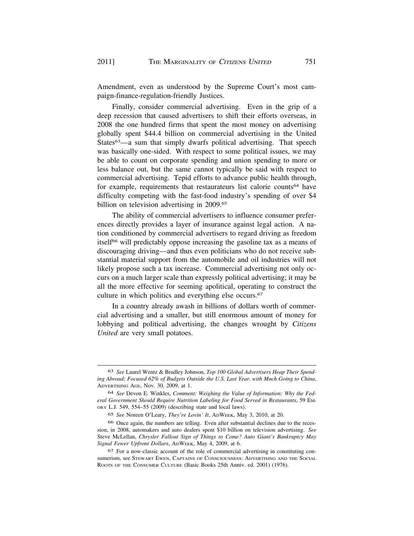Amendment, even as understood by the Supreme Court's most campaign-finance-regulation-friendly Justices.

Finally, consider commercial advertising. Even in the grip of a deep recession that caused advertisers to shift their efforts overseas, in 2008 the one hundred firms that spent the most money on advertising globally spent \$44.4 billion on commercial advertising in the United States<sup>63</sup>—a sum that simply dwarfs political advertising. That speech was basically one-sided. With respect to some political issues, we may be able to count on corporate spending and union spending to more or less balance out, but the same cannot typically be said with respect to commercial advertising. Tepid efforts to advance public health through, for example, requirements that restaurateurs list calorie counts<sup>64</sup> have difficulty competing with the fast-food industry's spending of over \$4 billion on television advertising in 2009.65

The ability of commercial advertisers to influence consumer preferences directly provides a layer of insurance against legal action. A nation conditioned by commercial advertisers to regard driving as freedom itself<sup>66</sup> will predictably oppose increasing the gasoline tax as a means of discouraging driving—and thus even politicians who do not receive substantial material support from the automobile and oil industries will not likely propose such a tax increase. Commercial advertising not only occurs on a much larger scale than expressly political advertising; it may be all the more effective for seeming apolitical, operating to construct the culture in which politics and everything else [occurs.67](https://occurs.67) 

In a country already awash in billions of dollars worth of commercial advertising and a smaller, but still enormous amount of money for lobbying and political advertising, the changes wrought by *Citizens United* are very small potatoes.

<sup>63</sup> *See* Laurel Wentz & Bradley Johnson, *Top 100 Global Advertisers Heap Their Spending Abroad; Focused 62% of Budgets Outside the U.S. Last Year, with Much Going to China*, ADVERTISING AGE, Nov. 30, 2009, at 1.

<sup>64</sup> *See* Devon E. Winkles, *Comment: Weighing the Value of Information: Why the Federal Government Should Require Nutrition Labeling for Food Served in Restaurants*, 59 EM-ORY L.J. 549, 554–55 (2009) (describing state and local laws).

<sup>65</sup> *See* Noreen O'Leary, *They're Lovin' It*, ADWEEK, May 3, 2010, at 20.

<sup>66</sup> Once again, the numbers are telling. Even after substantial declines due to the recession, in 2008, automakers and auto dealers spent \$10 billion on television advertising. *See*  Steve McLellan, *Chrysler Fallout Sign of Things to Come? Auto Giant's Bankruptcy May Signal Fewer Upfront Dollars*, ADWEEK, May 4, 2009, at 6.

<sup>67</sup> For a now-classic account of the role of commercial advertising in constituting consumerism, see STEWART EWEN, CAPTAINS OF CONSCIOUSNESS: ADVERTISING AND THE SOCIAL ROOTS OF THE CONSUMER CULTURE (Basic Books 25th Anniv. ed. 2001) (1976).